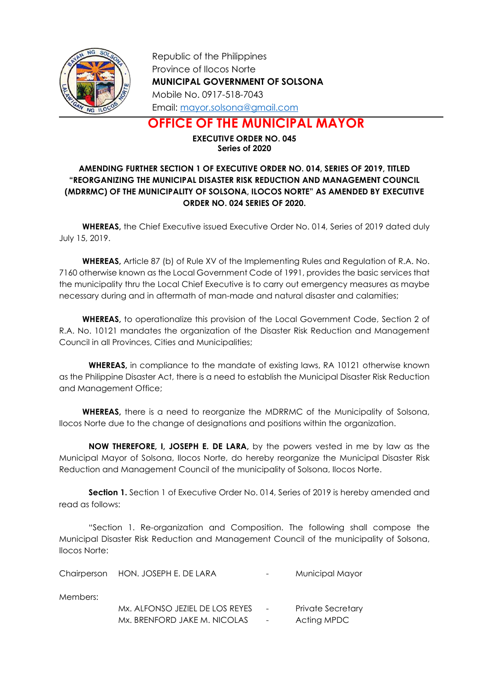

Republic of the Philippines Province of Ilocos Norte MUNICIPAL GOVERNMENT OF SOLSONA Mobile No. 0917-518-7043 Email: mayor.solsona@gmail.com

OFFICE OF THE MUNICIPAL MAYOR

EXECUTIVE ORDER NO. 045 Series of 2020

## AMENDING FURTHER SECTION 1 OF EXECUTIVE ORDER NO. 014, SERIES OF 2019, TITLED "REORGANIZING THE MUNICIPAL DISASTER RISK REDUCTION AND MANAGEMENT COUNCIL (MDRRMC) OF THE MUNICIPALITY OF SOLSONA, ILOCOS NORTE" AS AMENDED BY EXECUTIVE ORDER NO. 024 SERIES OF 2020.

WHEREAS, the Chief Executive issued Executive Order No. 014, Series of 2019 dated duly July 15, 2019.

WHEREAS, Article 87 (b) of Rule XV of the Implementing Rules and Regulation of R.A. No. 7160 otherwise known as the Local Government Code of 1991, provides the basic services that the municipality thru the Local Chief Executive is to carry out emergency measures as maybe necessary during and in aftermath of man-made and natural disaster and calamities;

WHEREAS, to operationalize this provision of the Local Government Code, Section 2 of R.A. No. 10121 mandates the organization of the Disaster Risk Reduction and Management Council in all Provinces, Cities and Municipalities;

WHEREAS, in compliance to the mandate of existing laws, RA 10121 otherwise known as the Philippine Disaster Act, there is a need to establish the Municipal Disaster Risk Reduction and Management Office;

WHEREAS, there is a need to reorganize the MDRRMC of the Municipality of Solsona, Ilocos Norte due to the change of designations and positions within the organization.

NOW THEREFORE, I, JOSEPH E. DE LARA, by the powers vested in me by law as the Municipal Mayor of Solsona, Ilocos Norte, do hereby reorganize the Municipal Disaster Risk Reduction and Management Council of the municipality of Solsona, Ilocos Norte.

Section 1. Section 1 of Executive Order No. 014, Series of 2019 is hereby amended and read as follows:

"Section 1. Re-organization and Composition. The following shall compose the Municipal Disaster Risk Reduction and Management Council of the municipality of Solsona, Ilocos Norte:

|          | Chairperson HON. JOSEPH E. DE LARA | $\sim$ 100 $\mu$ | Municipal Mayor          |
|----------|------------------------------------|------------------|--------------------------|
| Members: |                                    |                  |                          |
|          | Mx. ALFONSO JEZIEL DE LOS REYES    | $\sim$           | <b>Private Secretary</b> |
|          | Mx. BRENFORD JAKE M. NICOLAS       |                  | Acting MPDC              |